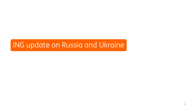# ING update on Russia and Ukraine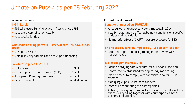# Update on Russia as per 28 February 2022

#### **Business overview**

#### **ING in Russia**

- **.** ING Wholesale Banking active in Russia since 1993
- Subsidiary capitalisation €0.2 bln
- Fully locally funded

#### **Wholesale Banking portfolio (~0.9% of total ING Group loan book)**

- Mostly USD & EUR
- Mainly liquidity facilities and pre-export financing

#### **Collateral in place >€2.5 bln**

| $\blacksquare$ ECA insurance               | €0.9 bln     |
|--------------------------------------------|--------------|
| • Credit & political risk insurance (CPRI) | €1.3 bln     |
| • (European) Parent quarantees             | €0.3 bln     |
| • Asset collateral                         | Market value |

#### **Current developments**

#### **Sanctions imposed by EU/UK/US**

- Already working under sanctions imposed in 2014
- $€0.7$  bln outstanding affected by new sanctions on specific entities and individuals
- No material effect of SWIFT measure expected for ING

#### **FX and capital controls imposed by Russian central bank**

■ Potential impact on ability to pay for borrowers with Russian nexus

#### **Risk management measures**

- Focus on staying safe & secure, for our people and bank
- **EXECT** Central team established for day-to-day monitoring
- Execute steps to comply with sanctions in so far ING is affected
- **Managing exposure, no new business**
- **·** Intensified monitoring of counterparties
- **EXECT** Actively managing to limit risks associated with derivatives exposures, working together with counterparties, both onshore and offshore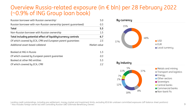### Overview Russia-related exposure (in € bln) per 28 February 2022 (~0.9% of ING Group loan book)

| Russian borrower with Russian ownership*                        | 5.0          |
|-----------------------------------------------------------------|--------------|
| Russian borrower with non-Russian ownership (parent guaranteed) | 0.3          |
| <b>Total</b>                                                    | 5.3          |
| Non-Russian borrower with Russian ownership                     | 1.5          |
| Total including potential effect of liquidity/currency controls | 6.7          |
| Of which covered by ECA, CPRI and European parent quarantees    | 2.5          |
| Additional asset-based collateral                               | Market value |
| Booked at ING in Russia                                         | 1.3          |
| Of which covered by European parent quarantee                   | 0.3          |
| Booked at other ING entities                                    | 5.3          |
| Of which covered by ECA, CPRI                                   | 2.2          |



Lending credit outstandings, including pre-settlement, money market and investment limits, excluding €0.6 bln undrawn committed exposures (off-balance sheet positions) \* Also includes foreign owner but with controlling Russian UBO (Ultimate Beneficiary Owner)